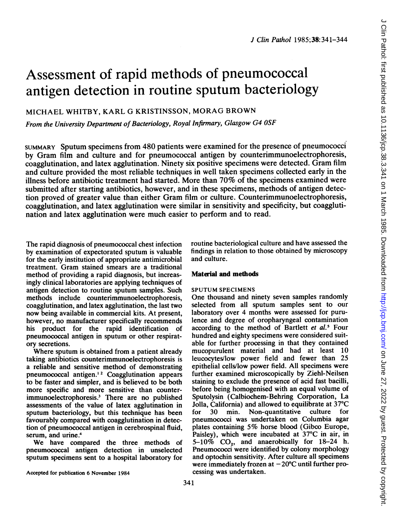# Assessment of rapid methods of pneumococcal antigen detection in routine sputum bacteriology

MICHAEL WHITBY, KARL G KRISTINSSON, MORAG BROWN

From the University Department of Bacteriology, Royal Infirmary, Glasgow G4 0SF

SUMMARY Sputum specimens from 480 patients were examined for the presence of pneumococci by Gram film and culture and for pneumococcal antigen by counterimmunoelectrophoresis, coagglutination, and latex agglutination. Ninety six positive specimens were detected. Gram film and culture provided the most reliable techniques in well taken specimens collected early in the illness before antibiotic treatment had started. More than 70% of the specimens examined were submitted after starting antibiotics, however, and in these specimens, methods of antigen detection proved of greater value than either Gram film or culture. Counterimmunoelectrophoresis, coagglutination, and latex agglutination were similar in sensitivity and specificity, but coagglutination and latex agglutination were much easier to perform and to read.

The rapid diagnosis of pneumococcal chest infection by examination of expectorated sputum is valuable for the early institution of appropriate antimicrobial treatment. Gram stained smears are a traditional method of providing a rapid diagnosis, but increasingly clinical laboratories are applying techniques of antigen detection to routine sputum samples. Such methods include counterimmunoelectrophoresis, coagglutination, and latex agglutination, the last two now being available in commercial kits. At present, however, no manufacturer specifically recommends his product for the rapid identification of pneumococcal antigen in sputum or other respiratory secretions.

Where sputum is obtained from a patient already taking antibiotics counterimmunoelectrophoresis is a reliable and sensitive method of demonstrating pneumococcal antigen.'2 Coagglutination appears to be faster and simpler, and is believed to be both more specific and more sensitive than counterimmunoelectrophoresis.3 There are no published assessments of the value of latex agglutination in sputum bacteriology, but this technique has been favourably compared with coagglutination in detection of pneumococcal antigen in cerebrospinal fluid, serum, and urine.<sup>4</sup>

We have compared the three methods of pneumococcal antigen detection in unselected sputum specimens sent to a hospital laboratory for routine bacteriological culture and have assessed the findings in relation to those obtained by microscopy and culture.

## Material and methods

## SPUTUM SPECIMENS

One thousand and ninety seven samples randomly selected from all sputum samples sent to our laboratory over 4 months were assessed for purulence and degree of oropharyngeal contamination according to the method of Bartlett et al.<sup>5</sup> Four hundred and eighty specimens were considered suitable for further processing in that they contained mucopurulent material and had at least 10 leucocytes/low power field and fewer than 25 epithelial cells/low power field. All specimens were further examined microscopically by Ziehl-Neilsen staining to exclude the presence of acid fast bacilli, before being homogenised with an equal volume of Sputolysin (Calbiochem-Behring Corporation, La Jolla, California) and allowed to equilibrate at 37°C for 30 min. Non-quantitative culture for pneumococci was undertaken on Columbia agar plates containing 5% horse blood (Gibco Europe, Paisley), which were incubated at 37°C in air, in  $5-10\%$  CO<sub>2</sub>, and anaerobically for 18-24 h. Pneumococci were identified by colony morphology and optochin sensitivity. After culture all specimens were immediately frozen at  $-20^{\circ}$ C until further processing was undertaken.

Accepted for publication 6 November 1984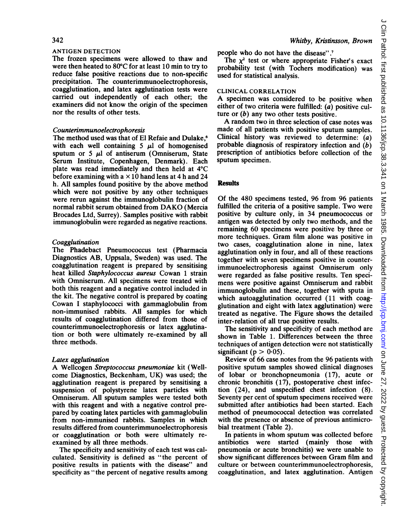#### 342

## ANTIGEN DETECTION

The frozen specimens were allowed to thaw and were then heated to 80°C for at least 10 min to try to reduce false positive reactions due to non-specific precipitation. The counterimmunoelectrophoresis, coagglutination, and latex agglutination tests were carried out independently of each other; the examiners did not know the origin of the specimen nor the results of other tests.

## Counterimmunoelectrophoresis

The method used was that of El Refaie and Dulake.<sup>6</sup> with each well containing  $5 \mu l$  of homogenised sputum or 5  $\mu$ l of antiserum (Omniserum, State Serum Institute, Copenhagen, Denmark). Each plate was read immediately and then held at  $4^{\circ}$ C before examining with a  $\times$  10 hand lens at 4 h and 24 h. All samples found positive by the above method which were not positive by any other techniques were rerun against the immunoglobulin fraction of normal rabbit serum obtained from DAKO (Mercia Brocades Ltd, Surrey). Samples positive with rabbit immunoglobulin were regarded as negative reactions.

## Coagglutination

The Phadebact Pneumococcus test (Pharmacia Diagnostics AB, Uppsala, Sweden) was used. The coagglutination reagent is prepared by sensitising heat killed Staphylococcus aureus Cowan <sup>1</sup> strain with Omniserum. All specimens were treated with both this reagent and a negative control included in the kit. The negative control is prepared by coating Cowan <sup>I</sup> staphylococci with gammaglobulin from non-immunised rabbits. All samples for which results of coagglutination differed from those of counterimmunoelectrophoresis or latex agglutination or both were ultimately re-examined by all three methods.

## Latex agglutination

A Wellcogen Streptococcus pneumoniae kit (Wellcome Diagnostics, Beckenham, UK) was used; the agglutination reagent is prepared by sensitising a suspension of polystyrene latex particles with Omniserum. All sputum samples were tested both with this reagent and with a negative control prepared by coating latex particles with gammaglobulin from non-immunised rabbits. Samples in which results differed from counterimmunoelectrophoresis or coagglutination or both were ultimately reexamined by all three methods.

The specificity and sensitivity of each test was calculated. Sensitivity is defined as "the percent of positive results in patients with the disease" and specificity as "the percent of negative results among

## Whitby, Kristinsson, Brown

people who do not have the disease".7

The  $\chi^2$  test or where appropriate Fisher's exact probability test (with Tochers modification) was used for statistical analysis.

#### CLINICAL CORRELATION

A specimen was considered to be positive when either of two criteria were fulfilled:  $(a)$  positive culture or  $(b)$  any two other tests positive.

A random two in three selection of case notes was made of all patients with positive sputum samples. Clinical history was reviewed to determine: (a) probable diagnosis of respiratory infection and  $(b)$ prescription of antibiotics before collection of the sputum specimen.

#### **Results**

Of the 480 specimens tested, 96 from 96 patients fulfilled the criteria of a positive sample. Two were positive by culture only, in 34 pneumococcus or antigen was detected by only two methods, and the remaining 60 specimens were positive by three or more techniques. Gram film alone was positive in two cases, coagglutination alone in nine, latex agglutination only in four, and all of these reactions together with seven specimens positive in counterimmunoelectrophoresis against Omniserum only were regarded as false positive results. Ten specimens were positive against Omniserum and rabbit immunoglobulin and these, together with sputa in which autoagglutination occurred (11 with coagglutination and eight with latex agglutination) were treated as negative. The Figure shows the detailed inter-relation of all true positive results.

The sensitivity and specificity of each method are shown in Table 1. Differences between the three techniques of antigen detection were not statistically significant ( $p > 0.05$ ).

Review of 66 case notes from the 96 patients with positive sputum samples showed clinical diagnoses of lobar or bronchopneumonia (17), acute or chronic bronchitis (17), postoperative chest infection (24), and unspecified chest infection (8). Seventy per cent of sputum specimens received were submitted after antibiotics had been started. Each method of pneumococcal detection was correlated with the presence or absence of previous antimicrobial treatment (Table 2).

In patients in whom sputum was collected before antibiotics were started (mainly those with pneumonia or acute bronchitis) we were unable to show significant differences between Gram film and culture or between counterimmunoelectrophoresis, coagglutination, and latex agglutination. Antigen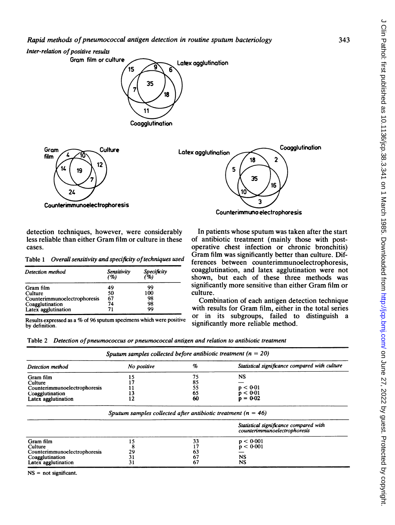

**Coagglutination** 



Counterimmunoelectrophoresis



Table 1 Overall sensitivity and specificity of techniques used

| Detection method                       | Sensitivity<br>(%) | Specificity<br>(%) |
|----------------------------------------|--------------------|--------------------|
| Gram film                              | 49                 | 99                 |
| Culture                                | 50                 | 100                |
| Counterimmunoelectrophoresis           | 67                 | 98                 |
|                                        | 74                 | 98                 |
| Coagglutination<br>Latex agglutination | 71                 | 99                 |

Results expressed as <sup>a</sup> % of <sup>96</sup> sputum specimens which were positive by definition.



In patients whose sputum was taken after the start of antibiotic treatment (mainly those with postoperative chest infection or chronic bronchitis) Gram film was significantly better than culture. Differences between counterimmunoelectrophoresis, coagglutination, and latex agglutination were not shown, but each of these three methods was significantly more sensitive than either Gram film or culture.

Combination of each antigen detection technique with results for Gram film, either in the total series or in its subgroups, failed to distinguish a significantly more reliable method.

Table 2 Detection of pneumococcus or pneumococcal antigen and relation to antibiotic treatment

| Sputum samples collected before antibiotic treatment ( $n = 20$ )                              |                                                                                    |                            |                                                                        |  |
|------------------------------------------------------------------------------------------------|------------------------------------------------------------------------------------|----------------------------|------------------------------------------------------------------------|--|
| Detection method                                                                               | No positive                                                                        | %                          | Statistical significance compared with culture                         |  |
| Gram film<br>Culture<br>Counterimmunoelectrophoresis<br>Coagglutination<br>Latex agglutination | 15<br>13<br>12<br>Sputum samples collected after antibiotic treatment ( $n = 46$ ) | 75<br>85<br>55<br>65<br>60 | <b>NS</b><br>p < 0.01<br>p < 001<br>$= 0.02$<br>D                      |  |
|                                                                                                |                                                                                    |                            | Statistical significance compared with<br>counterimmunoelectrophoresis |  |
| Gram film<br>Culture<br>Counterimmunoelectrophoresis<br>Coagglutination<br>Latex agglutination | 15<br>8<br>29<br>31<br>31                                                          | 33<br>63<br>67<br>67       | p < 0.001<br>p < 0.001<br><b>NS</b><br><b>NS</b>                       |  |

NS = not significant.

343